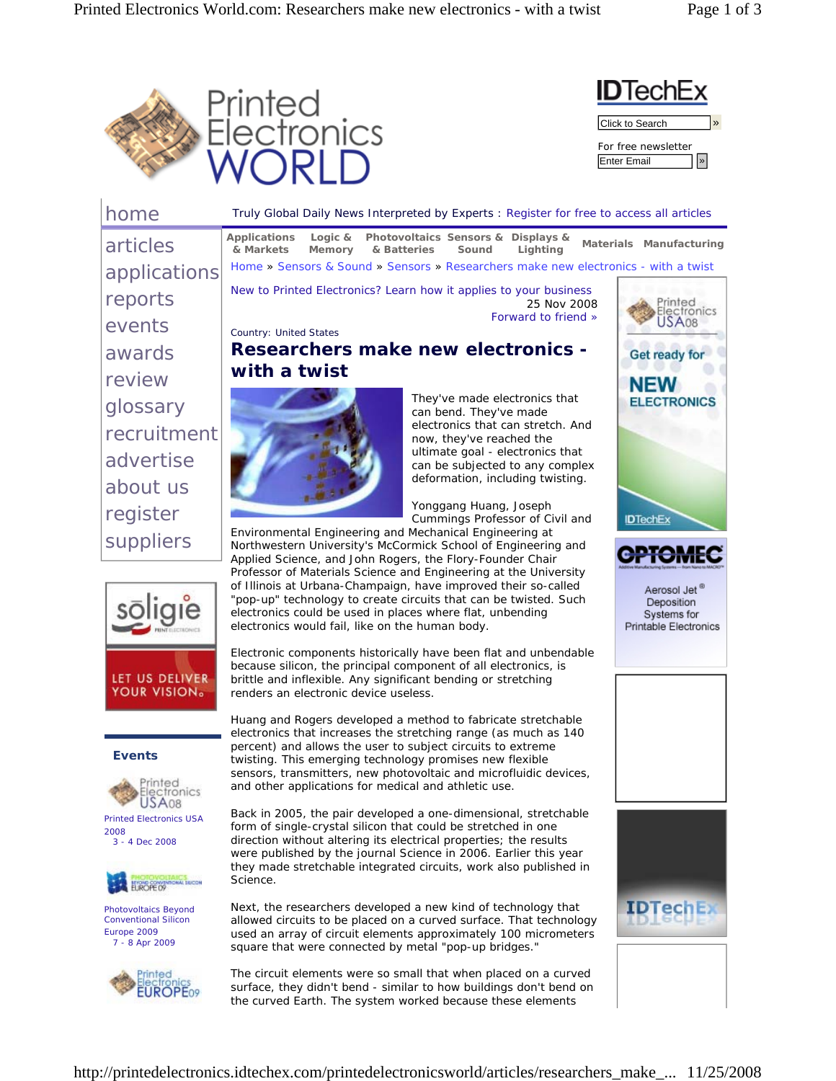



| home                                                                                 |                                                                                                                                                                                                                                                                                                                                                                                                                                                                                                                            | Truly Global Daily News Interpreted by Experts : Register for free to access all articles                                             |                                                                   |
|--------------------------------------------------------------------------------------|----------------------------------------------------------------------------------------------------------------------------------------------------------------------------------------------------------------------------------------------------------------------------------------------------------------------------------------------------------------------------------------------------------------------------------------------------------------------------------------------------------------------------|---------------------------------------------------------------------------------------------------------------------------------------|-------------------------------------------------------------------|
| articles                                                                             | Logic $&$<br>Applications<br>& Markets<br>Memory<br>& Batteries                                                                                                                                                                                                                                                                                                                                                                                                                                                            | Photovoltaics Sensors & Displays &<br>Lighting<br>Sound                                                                               | Materials Manufacturing                                           |
| applications                                                                         | Home » Sensors & Sound » Sensors » Researchers make new electronics - with a twist                                                                                                                                                                                                                                                                                                                                                                                                                                         |                                                                                                                                       |                                                                   |
| reports                                                                              | New to Printed Electronics? Learn how it applies to your business                                                                                                                                                                                                                                                                                                                                                                                                                                                          | Electronics                                                                                                                           |                                                                   |
| events                                                                               | <b>Country: United States</b>                                                                                                                                                                                                                                                                                                                                                                                                                                                                                              | Forward to friend »                                                                                                                   | JSA08                                                             |
| awards                                                                               | <b>Researchers make new electronics -</b>                                                                                                                                                                                                                                                                                                                                                                                                                                                                                  |                                                                                                                                       | <b>Get ready for</b>                                              |
| review                                                                               | with a twist                                                                                                                                                                                                                                                                                                                                                                                                                                                                                                               |                                                                                                                                       | <b>NEW</b>                                                        |
| glossary                                                                             |                                                                                                                                                                                                                                                                                                                                                                                                                                                                                                                            | They've made electronics that<br>can bend. They've made                                                                               | <b>ELECTRONICS</b>                                                |
| recruitment                                                                          |                                                                                                                                                                                                                                                                                                                                                                                                                                                                                                                            | electronics that can stretch. And<br>now, they've reached the                                                                         |                                                                   |
| advertise                                                                            |                                                                                                                                                                                                                                                                                                                                                                                                                                                                                                                            | ultimate goal - electronics that<br>can be subjected to any complex                                                                   |                                                                   |
| about us                                                                             |                                                                                                                                                                                                                                                                                                                                                                                                                                                                                                                            | deformation, including twisting.                                                                                                      |                                                                   |
| register                                                                             |                                                                                                                                                                                                                                                                                                                                                                                                                                                                                                                            | Yonggang Huang, Joseph<br>Cummings Professor of Civil and                                                                             | <b>IDTechEx</b>                                                   |
| suppliers                                                                            | Environmental Engineering and Mechanical Engineering at<br>Northwestern University's McCormick School of Engineering and                                                                                                                                                                                                                                                                                                                                                                                                   |                                                                                                                                       |                                                                   |
|                                                                                      | Applied Science, and John Rogers, the Flory-Founder Chair<br>Professor of Materials Science and Engineering at the University<br>of Illinois at Urbana-Champaign, have improved their so-called<br>"pop-up" technology to create circuits that can be twisted. Such<br>electronics could be used in places where flat, unbending<br>electronics would fail, like on the human body.<br>Electronic components historically have been flat and unbendable<br>because silicon, the principal component of all electronics, is |                                                                                                                                       | Aerosol Jet<br>Deposition<br>Systems for<br>Printable Electronics |
| LET US DELIVER<br><b>YOUR VISION.</b>                                                | brittle and inflexible. Any significant bending or stretching<br>renders an electronic device useless.                                                                                                                                                                                                                                                                                                                                                                                                                     |                                                                                                                                       |                                                                   |
| <b>Events</b><br>rinted<br>USA <sub>08</sub>                                         | Huang and Rogers developed a method to fabricate stretchable<br>electronics that increases the stretching range (as much as 140<br>percent) and allows the user to subject circuits to extreme<br>twisting. This emerging technology promises new flexible<br>sensors, transmitters, new photovoltaic and microfluidic devices,<br>and other applications for medical and athletic use.                                                                                                                                    |                                                                                                                                       |                                                                   |
| <b>Printed Electronics USA</b><br>2008<br>3 - 4 Dec 2008                             | Back in 2005, the pair developed a one-dimensional, stretchable<br>form of single-crystal silicon that could be stretched in one<br>direction without altering its electrical properties; the results<br>were published by the journal Science in 2006. Earlier this year<br>they made stretchable integrated circuits, work also published in<br>Science.                                                                                                                                                                 |                                                                                                                                       |                                                                   |
| Photovoltaics Beyond<br><b>Conventional Silicon</b><br>Europe 2009<br>7 - 8 Apr 2009 | Next, the researchers developed a new kind of technology that<br>allowed circuits to be placed on a curved surface. That technology<br>used an array of circuit elements approximately 100 micrometers<br>square that were connected by metal "pop-up bridges."                                                                                                                                                                                                                                                            |                                                                                                                                       | <b>IDTechE</b>                                                    |
| inted<br>ctronics<br><b>ROPF09</b>                                                   |                                                                                                                                                                                                                                                                                                                                                                                                                                                                                                                            | The circuit elements were so small that when placed on a curved<br>surface, they didn't bend - similar to how buildings don't bend on |                                                                   |

http://printedelectronics.idtechex.com/printedelectronicsworld/articles/researchers\_make\_... 11/25/2008

the curved Earth. The system worked because these elements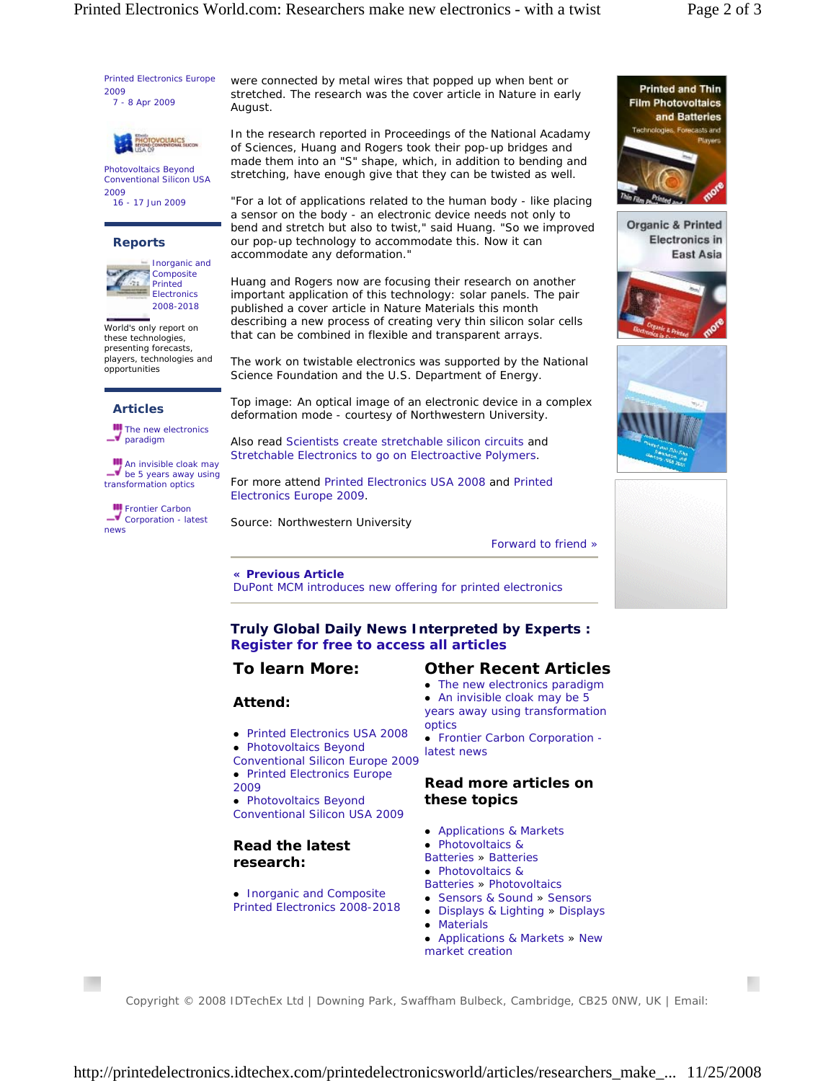Printed Electronics Europe 2009 7 - 8 Apr 2009



Photovoltaics Beyond Conventional Silicon USA 2009 16 - 17 Jun 2009

#### **Reports**



World's only report on these technologies, presenting forecasts, players, technologies and opportunities

#### **Articles**

**III** The new electronics –• paradigm

**III** An invisible cloak may  $\blacktriangleright$  be 5 years away using transformation optics

**Frontier Carbon** Corporation - latest news

were connected by metal wires that popped up when bent or stretched. The research was the cover article in Nature in early August.

In the research reported in Proceedings of the National Acadamy of Sciences, Huang and Rogers took their pop-up bridges and made them into an "S" shape, which, in addition to bending and stretching, have enough give that they can be twisted as well.

*"For a lot of applications related to the human body - like placing a sensor on the body - an electronic device needs not only to bend and stretch but also to twist,"* said Huang. *"So we improved our pop-up technology to accommodate this. Now it can accommodate any deformation."*

Huang and Rogers now are focusing their research on another important application of this technology: solar panels. The pair published a cover article in Nature Materials this month describing a new process of creating very thin silicon solar cells that can be combined in flexible and transparent arrays.

The work on twistable electronics was supported by the National Science Foundation and the U.S. Department of Energy.

*Top image: An optical image of an electronic device in a complex deformation mode - courtesy of Northwestern University.*

Also read Scientists create stretchable silicon circuits and Stretchable Electronics to go on Electroactive Polymers.

For more attend Printed Electronics USA 2008 and Printed Electronics Europe 2009.

*Source: Northwestern University*

Forward to friend »

**« Previous Article** DuPont MCM introduces new offering for printed electronics

**Truly Global Daily News Interpreted by Experts : Register for free to access all articles** 

# **To learn More:**

### **Attend:**

- Printed Electronics USA 2008
- Conventional Silicon Europe 2009
- 2009

# **Read the latest research:**

• Inorganic and Composite Printed Electronics 2008-2018

## **Other Recent Articles**

- The new electronics paradigm
- An invisible cloak may be 5 years away using transformation optics
- Frontier Carbon Corporation latest news

## **Read more articles on these topics**

- Applications & Markets
- Photovoltaics &
- Batteries » Batteries
- Photovoltaics &
- Batteries » Photovoltaics
- Sensors & Sound » Sensors • Displays & Lighting » Displays
- Materials
- Applications & Markets » New market creation

Copyright © 2008 IDTechEx Ltd | Downing Park, Swaffham Bulbeck, Cambridge, CB25 0NW, UK | Email:



**Organic & Printed Electronics in East Asia** 







- 
- Photovoltaics Beyond
- Printed Electronics Europe
	- Photovoltaics Beyond Conventional Silicon USA 2009